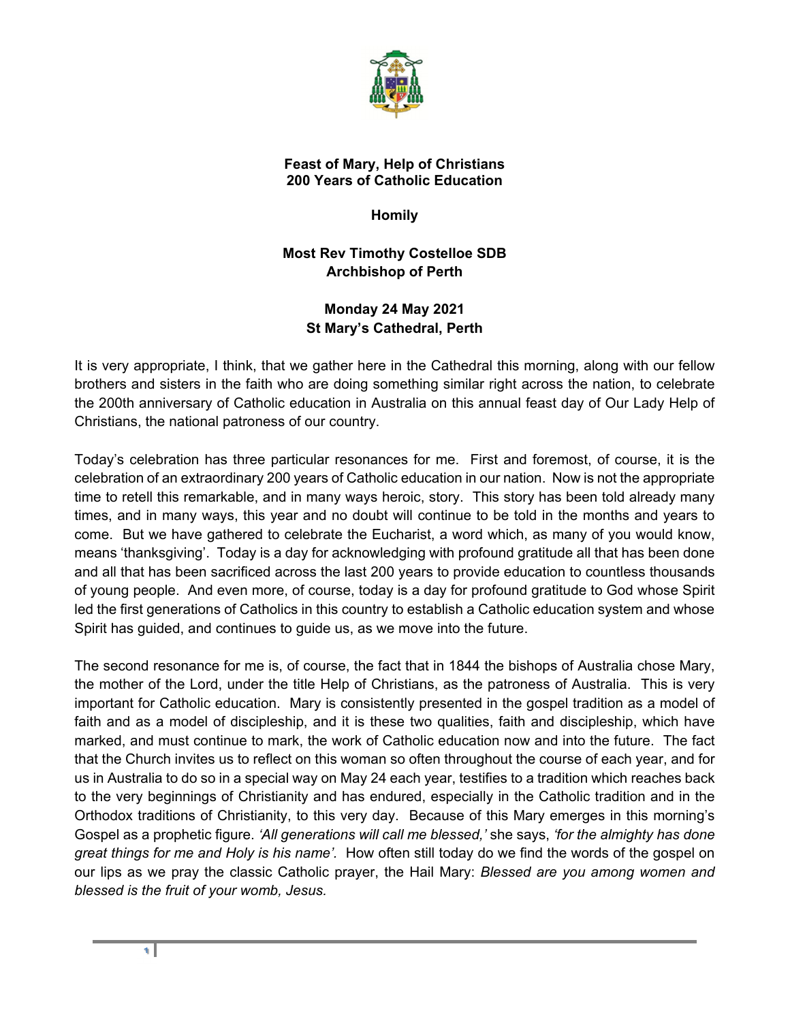

## **Feast of Mary, Help of Christians 200 Years of Catholic Education**

**Homily** 

**Most Rev Timothy Costelloe SDB Archbishop of Perth**

## **Monday 24 May 2021 St Mary's Cathedral, Perth**

It is very appropriate, I think, that we gather here in the Cathedral this morning, along with our fellow brothers and sisters in the faith who are doing something similar right across the nation, to celebrate the 200th anniversary of Catholic education in Australia on this annual feast day of Our Lady Help of Christians, the national patroness of our country.

Today's celebration has three particular resonances for me. First and foremost, of course, it is the celebration of an extraordinary 200 years of Catholic education in our nation. Now is not the appropriate time to retell this remarkable, and in many ways heroic, story. This story has been told already many times, and in many ways, this year and no doubt will continue to be told in the months and years to come. But we have gathered to celebrate the Eucharist, a word which, as many of you would know, means 'thanksgiving'. Today is a day for acknowledging with profound gratitude all that has been done and all that has been sacrificed across the last 200 years to provide education to countless thousands of young people. And even more, of course, today is a day for profound gratitude to God whose Spirit led the first generations of Catholics in this country to establish a Catholic education system and whose Spirit has guided, and continues to guide us, as we move into the future.

The second resonance for me is, of course, the fact that in 1844 the bishops of Australia chose Mary, the mother of the Lord, under the title Help of Christians, as the patroness of Australia. This is very important for Catholic education. Mary is consistently presented in the gospel tradition as a model of faith and as a model of discipleship, and it is these two qualities, faith and discipleship, which have marked, and must continue to mark, the work of Catholic education now and into the future. The fact that the Church invites us to reflect on this woman so often throughout the course of each year, and for us in Australia to do so in a special way on May 24 each year, testifies to a tradition which reaches back to the very beginnings of Christianity and has endured, especially in the Catholic tradition and in the Orthodox traditions of Christianity, to this very day. Because of this Mary emerges in this morning's Gospel as a prophetic figure. *'All generations will call me blessed,'* she says, *'for the almighty has done great things for me and Holy is his name'.* How often still today do we find the words of the gospel on our lips as we pray the classic Catholic prayer, the Hail Mary: *Blessed are you among women and blessed is the fruit of your womb, Jesus.*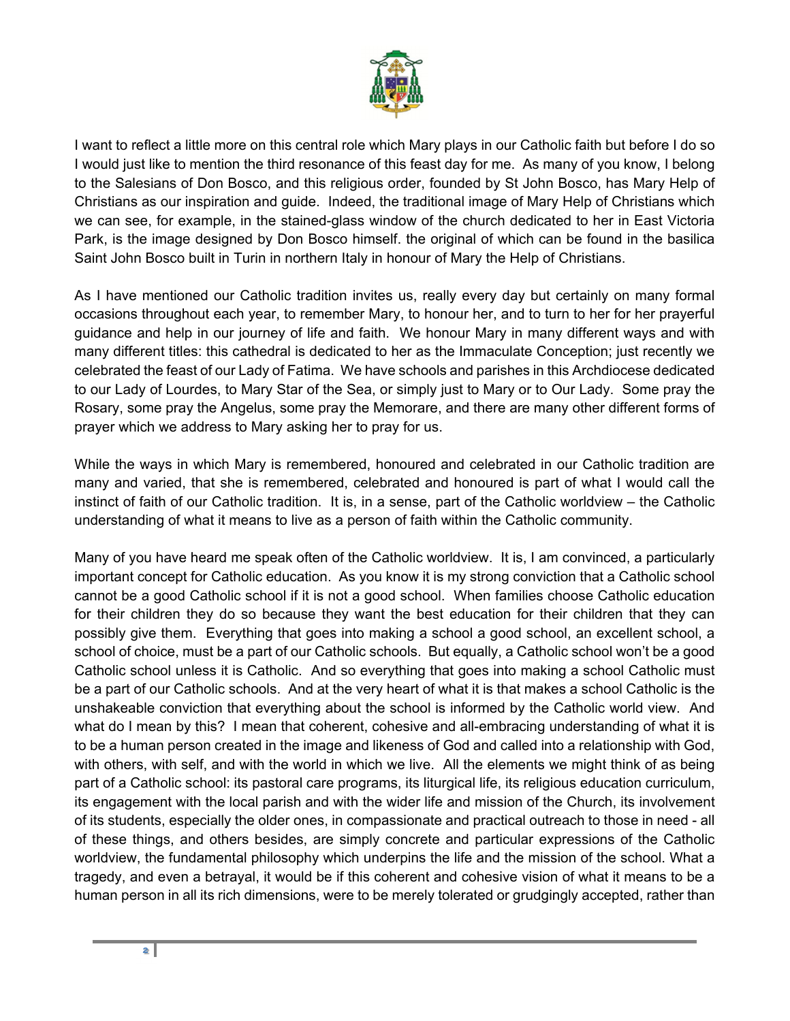

I want to reflect a little more on this central role which Mary plays in our Catholic faith but before I do so I would just like to mention the third resonance of this feast day for me. As many of you know, I belong to the Salesians of Don Bosco, and this religious order, founded by St John Bosco, has Mary Help of Christians as our inspiration and guide. Indeed, the traditional image of Mary Help of Christians which we can see, for example, in the stained-glass window of the church dedicated to her in East Victoria Park, is the image designed by Don Bosco himself. the original of which can be found in the basilica Saint John Bosco built in Turin in northern Italy in honour of Mary the Help of Christians.

As I have mentioned our Catholic tradition invites us, really every day but certainly on many formal occasions throughout each year, to remember Mary, to honour her, and to turn to her for her prayerful guidance and help in our journey of life and faith. We honour Mary in many different ways and with many different titles: this cathedral is dedicated to her as the Immaculate Conception; just recently we celebrated the feast of our Lady of Fatima. We have schools and parishes in this Archdiocese dedicated to our Lady of Lourdes, to Mary Star of the Sea, or simply just to Mary or to Our Lady. Some pray the Rosary, some pray the Angelus, some pray the Memorare, and there are many other different forms of prayer which we address to Mary asking her to pray for us.

While the ways in which Mary is remembered, honoured and celebrated in our Catholic tradition are many and varied, that she is remembered, celebrated and honoured is part of what I would call the instinct of faith of our Catholic tradition. It is, in a sense, part of the Catholic worldview – the Catholic understanding of what it means to live as a person of faith within the Catholic community.

Many of you have heard me speak often of the Catholic worldview. It is, I am convinced, a particularly important concept for Catholic education. As you know it is my strong conviction that a Catholic school cannot be a good Catholic school if it is not a good school. When families choose Catholic education for their children they do so because they want the best education for their children that they can possibly give them. Everything that goes into making a school a good school, an excellent school, a school of choice, must be a part of our Catholic schools. But equally, a Catholic school won't be a good Catholic school unless it is Catholic. And so everything that goes into making a school Catholic must be a part of our Catholic schools. And at the very heart of what it is that makes a school Catholic is the unshakeable conviction that everything about the school is informed by the Catholic world view. And what do I mean by this? I mean that coherent, cohesive and all-embracing understanding of what it is to be a human person created in the image and likeness of God and called into a relationship with God, with others, with self, and with the world in which we live. All the elements we might think of as being part of a Catholic school: its pastoral care programs, its liturgical life, its religious education curriculum, its engagement with the local parish and with the wider life and mission of the Church, its involvement of its students, especially the older ones, in compassionate and practical outreach to those in need - all of these things, and others besides, are simply concrete and particular expressions of the Catholic worldview, the fundamental philosophy which underpins the life and the mission of the school. What a tragedy, and even a betrayal, it would be if this coherent and cohesive vision of what it means to be a human person in all its rich dimensions, were to be merely tolerated or grudgingly accepted, rather than